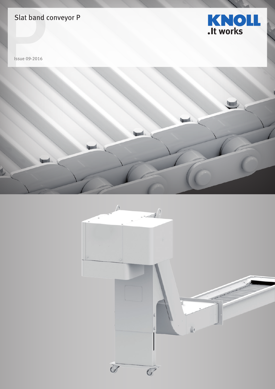# Slat band conveyor P



Issue 09-2016



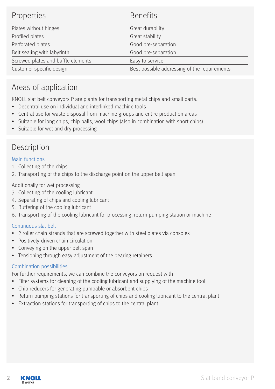| <b>Properties</b>                  | <b>Benefits</b>                              |
|------------------------------------|----------------------------------------------|
| Plates without hinges              | Great durability                             |
| Profiled plates                    | Great stability                              |
| Perforated plates                  | Good pre-separation                          |
| Belt sealing with labyrinth        | Good pre-separation                          |
| Screwed plates and baffle elements | Easy to service                              |
| Customer-specific design           | Best possible addressing of the requirements |

## Areas of application

KNOLL slat belt conveyors P are plants for transporting metal chips and small parts.

- Decentral use on individual and interlinked machine tools
- Central use for waste disposal from machine groups and entire production areas
- Suitable for long chips, chip balls, wool chips (also in combination with short chips)
- Suitable for wet and dry processing

### Description

### Main functions

- 1. Collecting of the chips
- 2. Transporting of the chips to the discharge point on the upper belt span

Additionally for wet processing

- 3. Collecting of the cooling lubricant
- 4. Separating of chips and cooling lubricant
- 5. Buffering of the cooling lubricant
- 6. Transporting of the cooling lubricant for processing, return pumping station or machine

### Continuous slat belt

- 2 roller chain strands that are screwed together with steel plates via consoles
- Positively-driven chain circulation
- Conveying on the upper belt span
- Tensioning through easy adjustment of the bearing retainers

#### Combination possibilities

For further requirements, we can combine the conveyors on request with

- Filter systems for cleaning of the cooling lubricant and supplying of the machine tool
- Chip reducers for generating pumpable or absorbent chips
- Return pumping stations for transporting of chips and cooling lubricant to the central plant
- Extraction stations for transporting of chips to the central plant

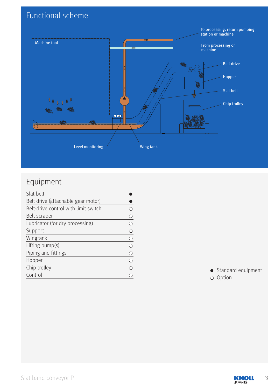# Functional scheme



## Equipment

| Slat belt                            |   |
|--------------------------------------|---|
| Belt drive (attachable gear motor)   |   |
| Belt-drive control with limit switch |   |
| Belt scraper                         | € |
| Lubricator (for dry processing)      | € |
| Support                              | С |
| Wingtank                             | С |
| Lifting pump(s)                      | C |
| Piping and fittings                  | € |
| Hopper                               | € |
| Chip trolley                         | С |
| Control                              |   |

● Standard equipment ○ Option